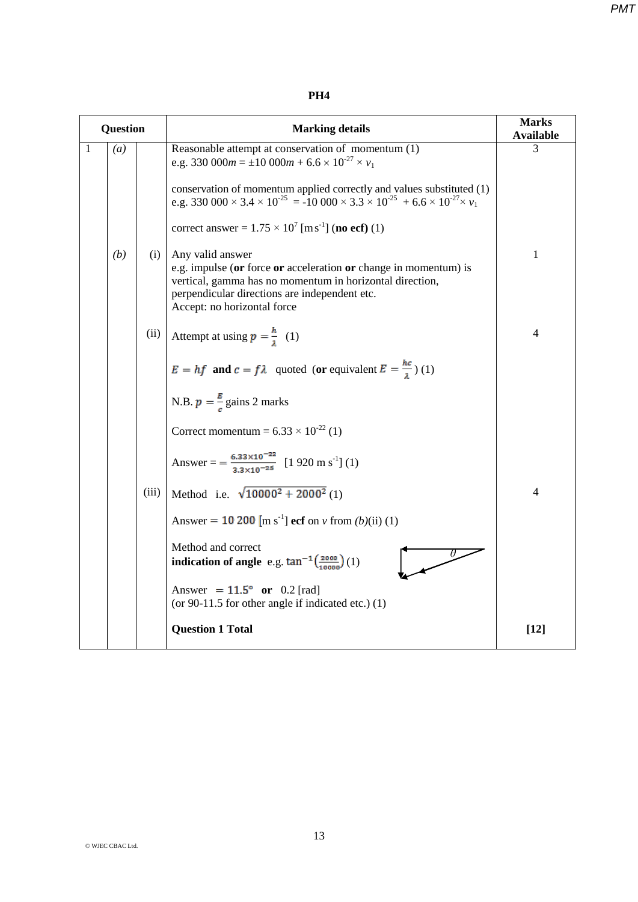*PMT*

## **PH4**

| <b>Question</b> |                  |       | <b>Marking details</b>                                                                                                                                                                                                                                                                                                                                        | <b>Marks</b><br><b>Available</b> |
|-----------------|------------------|-------|---------------------------------------------------------------------------------------------------------------------------------------------------------------------------------------------------------------------------------------------------------------------------------------------------------------------------------------------------------------|----------------------------------|
| 1               | $\left(a\right)$ |       | Reasonable attempt at conservation of momentum (1)<br>e.g. 330 000 $m = \pm 10$ 000 $m + 6.6 \times 10^{-27} \times \nu_1$<br>conservation of momentum applied correctly and values substituted (1)<br>e.g. 330 000 $\times$ 3.4 $\times$ 10 <sup>-25</sup> = -10 000 $\times$ 3.3 $\times$ 10 <sup>-25</sup> + 6.6 $\times$ 10 <sup>-27</sup> $\times$ $v_1$ | 3                                |
|                 |                  |       | correct answer = $1.75 \times 10^7$ [m s <sup>-1</sup> ] (no ecf) (1)                                                                                                                                                                                                                                                                                         |                                  |
|                 | (b)              | (i)   | Any valid answer<br>e.g. impulse (or force or acceleration or change in momentum) is<br>vertical, gamma has no momentum in horizontal direction,<br>perpendicular directions are independent etc.<br>Accept: no horizontal force                                                                                                                              | $\mathbf{1}$                     |
|                 |                  | (ii)  | Attempt at using $p = \frac{h}{a}$ (1)                                                                                                                                                                                                                                                                                                                        | $\overline{4}$                   |
|                 |                  |       | $E = hf$ and $c = fl$ quoted (or equivalent $E = \frac{hc}{\lambda}$ ) (1)                                                                                                                                                                                                                                                                                    |                                  |
|                 |                  |       | N.B. $p = \frac{B}{a}$ gains 2 marks                                                                                                                                                                                                                                                                                                                          |                                  |
|                 |                  |       | Correct momentum = $6.33 \times 10^{-22}$ (1)                                                                                                                                                                                                                                                                                                                 |                                  |
|                 |                  |       | Answer = $=\frac{6.33 \times 10^{-22}}{3.3 \times 10^{-25}}$ [1 920 m s <sup>-1</sup> ] (1)                                                                                                                                                                                                                                                                   |                                  |
|                 |                  | (iii) | Method i.e. $\sqrt{10000^2 + 2000^2}$ (1)                                                                                                                                                                                                                                                                                                                     | $\overline{4}$                   |
|                 |                  |       | Answer = 10 200 [m s <sup>-1</sup> ] ecf on v from $(b)(ii)$ (1)                                                                                                                                                                                                                                                                                              |                                  |
|                 |                  |       | Method and correct<br>indication of angle e.g. $\tan^{-1}(\frac{2000}{10000})(1)$                                                                                                                                                                                                                                                                             |                                  |
|                 |                  |       | Answer = $11.5^{\circ}$ or 0.2 [rad]<br>(or $90-11.5$ for other angle if indicated etc.) (1)                                                                                                                                                                                                                                                                  |                                  |
|                 |                  |       | <b>Question 1 Total</b>                                                                                                                                                                                                                                                                                                                                       | $[12]$                           |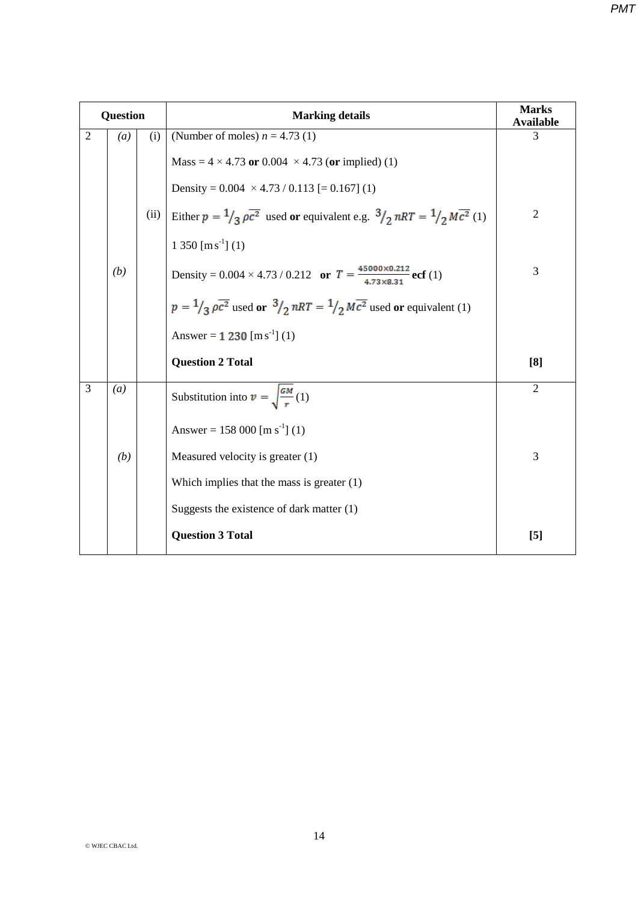| <b>Question</b>                    |      | <b>Marking details</b>                                                                                                    | <b>Marks</b><br><b>Available</b> |  |
|------------------------------------|------|---------------------------------------------------------------------------------------------------------------------------|----------------------------------|--|
| $\overline{2}$<br>$\left(a\right)$ | (i)  | (Number of moles) $n = 4.73$ (1)                                                                                          | 3                                |  |
|                                    |      | Mass = $4 \times 4.73$ or 0.004 $\times 4.73$ (or implied) (1)                                                            |                                  |  |
|                                    |      | Density = $0.004 \times 4.73 / 0.113$ [= $0.167$ ] (1)                                                                    |                                  |  |
|                                    | (ii) | Either $p = \frac{1}{3} \rho \overline{c^2}$ used or equivalent e.g. $\frac{3}{2} nRT = \frac{1}{2} M \overline{c^2}$ (1) | $\mathfrak{2}$                   |  |
|                                    |      | $1\,350\,[\mathrm{m\,s}^{-1}]$ (1)                                                                                        |                                  |  |
| (b)                                |      | Density = $0.004 \times 4.73 / 0.212$ or $T = \frac{45000 \times 0.212}{4.73 \times 8.31}$ ecf (1)                        | 3                                |  |
|                                    |      | $p = \frac{1}{3} \rho \overline{c^2}$ used or $\frac{3}{2} nRT = \frac{1}{2} M \overline{c^2}$ used or equivalent (1)     |                                  |  |
|                                    |      | Answer = $1\,230 \, [\text{m s}^{-1}]$ (1)                                                                                |                                  |  |
|                                    |      | <b>Question 2 Total</b>                                                                                                   | [8]                              |  |
| $\overline{3}$<br>$\left(a\right)$ |      | Substitution into $v = \sqrt{\frac{GM}{r}}(1)$                                                                            | $\overline{2}$                   |  |
|                                    |      | Answer = 158 000 [m s <sup>-1</sup> ] (1)                                                                                 |                                  |  |
| (b)                                |      | Measured velocity is greater (1)                                                                                          | 3                                |  |
|                                    |      | Which implies that the mass is greater $(1)$                                                                              |                                  |  |
|                                    |      | Suggests the existence of dark matter $(1)$                                                                               |                                  |  |

**Question 3 Total [5]**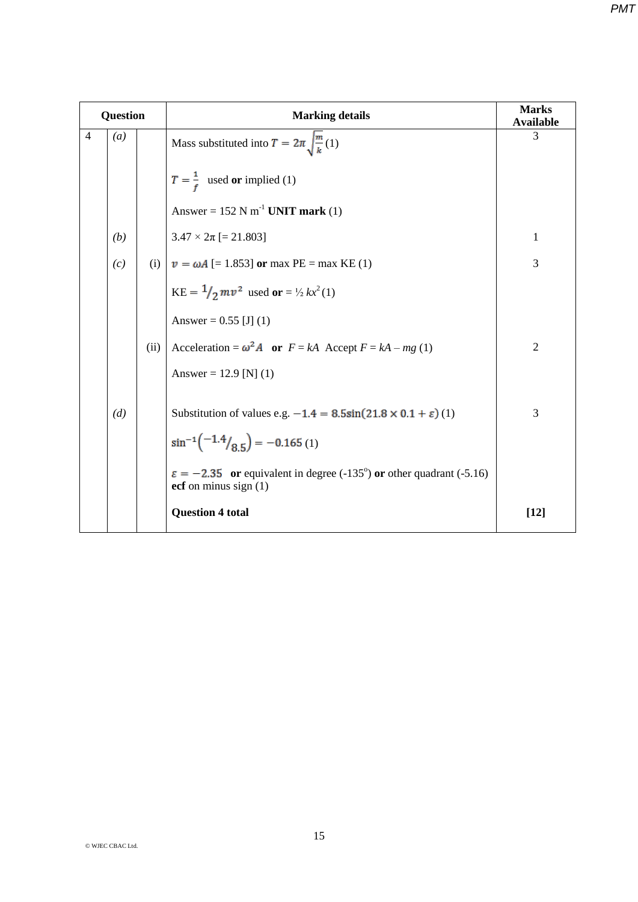| <b>Question</b> |                  |      | <b>Marking details</b>                                                                                                                  | <b>Marks</b><br><b>Available</b> |
|-----------------|------------------|------|-----------------------------------------------------------------------------------------------------------------------------------------|----------------------------------|
| $\overline{4}$  | $\left(a\right)$ | 3    |                                                                                                                                         |                                  |
|                 |                  |      | $T = \frac{1}{f}$ used or implied (1)                                                                                                   |                                  |
|                 |                  |      | Answer = $152$ N m <sup>-1</sup> UNIT mark (1)                                                                                          |                                  |
|                 | (b)              |      | $3.47 \times 2\pi$ [= 21.803]                                                                                                           | $\mathbf{1}$                     |
|                 | (c)              |      | (i) $v = \omega A$ [= 1.853] or max PE = max KE (1)                                                                                     | 3                                |
|                 |                  |      | $KE = \frac{1}{2}mv^2$ used or = $\frac{1}{2}kx^2(1)$                                                                                   |                                  |
|                 |                  |      | Answer = $0.55$ [J] (1)                                                                                                                 |                                  |
|                 |                  | (ii) | Acceleration = $\omega^2 A$ or $F = kA$ Accept $F = kA - mg(1)$                                                                         | $\overline{2}$                   |
|                 |                  |      | Answer = 12.9 [N] (1)                                                                                                                   |                                  |
|                 | (d)              |      | Substitution of values e.g. $-1.4 = 8.5\sin(21.8 \times 0.1 + \varepsilon)$ (1)<br>$\sin^{-1}\left(\frac{-1.4}{8.5}\right) = -0.165(1)$ | 3                                |
|                 |                  |      | $\varepsilon = -2.35$ or equivalent in degree (-135°) or other quadrant (-5.16)<br>ecf on minus sign $(1)$                              |                                  |
|                 |                  |      | <b>Question 4 total</b>                                                                                                                 | $[12]$                           |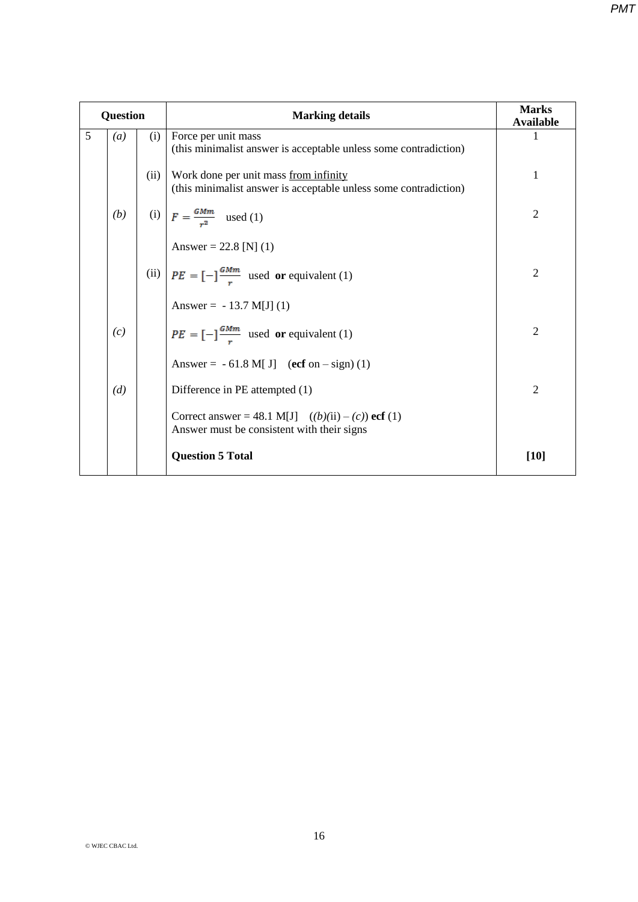| <b>Question</b> |                  |      | <b>Marking details</b>                                                                                    | <b>Marks</b><br><b>Available</b> |
|-----------------|------------------|------|-----------------------------------------------------------------------------------------------------------|----------------------------------|
| 5               | $\left(a\right)$ | (i)  | Force per unit mass<br>(this minimalist answer is acceptable unless some contradiction)                   | 1                                |
|                 |                  | (ii) | Work done per unit mass from infinity<br>(this minimalist answer is acceptable unless some contradiction) | 1                                |
|                 | (b)              |      | (i) $F = \frac{GMm}{r^2}$ used (1)                                                                        | $\overline{2}$                   |
|                 |                  |      | Answer = 22.8 [N] (1)                                                                                     |                                  |
|                 |                  |      | (ii) $PE = [-]\frac{G M m}{r}$ used or equivalent (1)                                                     | $\overline{2}$                   |
|                 |                  |      | Answer = $-13.7$ M[J] (1)                                                                                 |                                  |
|                 | (c)              |      | $PE = [-]\frac{GMm}{r}$ used or equivalent (1)                                                            | $\overline{2}$                   |
|                 |                  |      | Answer = $-61.8$ M[J] (ecf on $-$ sign) (1)                                                               |                                  |
|                 | (d)              |      | Difference in PE attempted (1)                                                                            | $\overline{2}$                   |
|                 |                  |      | Correct answer = 48.1 M[J] $((b)(ii) - (c))$ ecf (1)<br>Answer must be consistent with their signs        |                                  |
|                 |                  |      | <b>Question 5 Total</b>                                                                                   | $[10]$                           |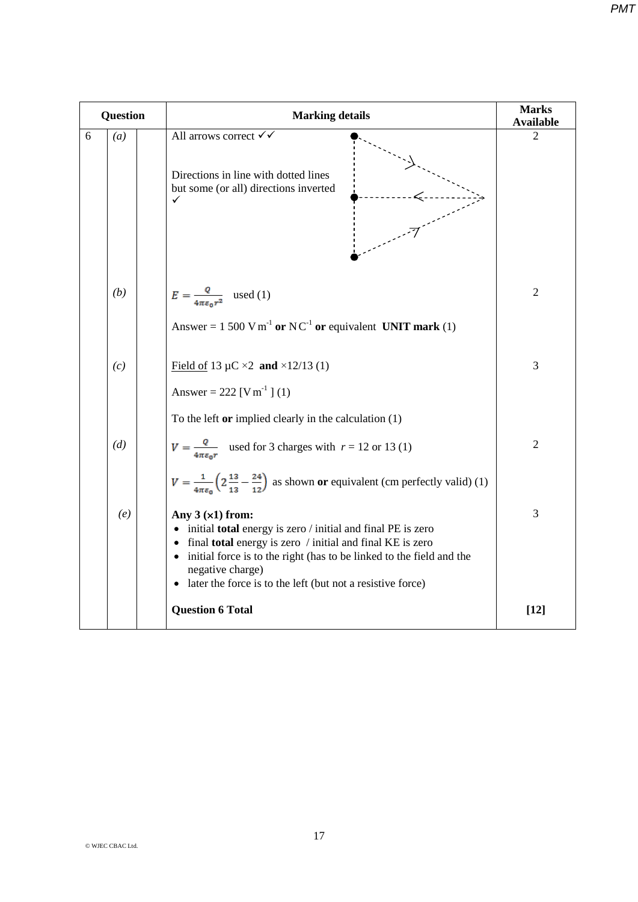| Question |                  | <b>Marking details</b>                                                                                                                                                                                                                                                                                                     | <b>Marks</b><br><b>Available</b> |
|----------|------------------|----------------------------------------------------------------------------------------------------------------------------------------------------------------------------------------------------------------------------------------------------------------------------------------------------------------------------|----------------------------------|
| 6        | $\left(a\right)$ | All arrows correct √√<br>Directions in line with dotted lines<br>but some (or all) directions inverted<br>✓                                                                                                                                                                                                                | 2                                |
|          | (b)              | $E = \frac{Q}{4\pi\epsilon_0 r^2}$ used (1)<br>Answer = 1 500 V m <sup>-1</sup> or NC <sup>-1</sup> or equivalent UNIT mark (1)                                                                                                                                                                                            | $\overline{2}$                   |
|          | (c)              | Field of 13 $\mu$ C ×2 and ×12/13 (1)<br>Answer = 222 [V m <sup>-1</sup> ] (1)<br>To the left or implied clearly in the calculation $(1)$                                                                                                                                                                                  | 3                                |
|          | (d)              | $V = \frac{Q}{4\pi\epsilon_0 r}$ used for 3 charges with $r = 12$ or 13 (1)<br>$V = \frac{1}{4\pi\epsilon_0} \left( 2\frac{13}{13} - \frac{24}{12} \right)$ as shown or equivalent (cm perfectly valid) (1)                                                                                                                | $\overline{2}$                   |
|          | (e)              | Any $3(x1)$ from:<br>• initial total energy is zero / initial and final PE is zero<br>• final total energy is zero / initial and final KE is zero<br>• initial force is to the right (has to be linked to the field and the<br>negative charge)<br>later the force is to the left (but not a resistive force)<br>$\bullet$ | 3                                |
|          |                  | <b>Question 6 Total</b>                                                                                                                                                                                                                                                                                                    | $[12]$                           |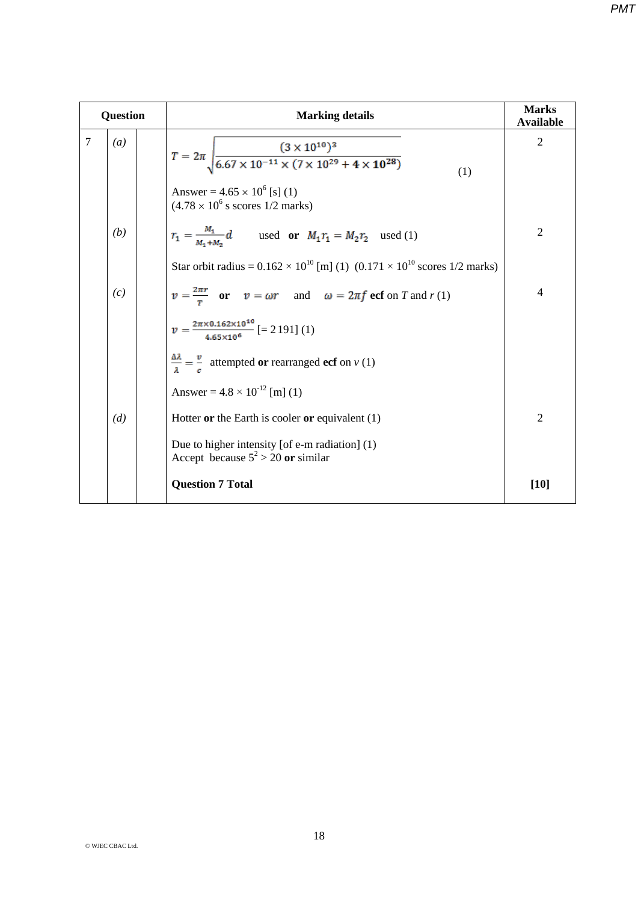| <b>Question</b> |                  | <b>Marking details</b>                                                                                                                                  | <b>Marks</b><br><b>Available</b> |  |
|-----------------|------------------|---------------------------------------------------------------------------------------------------------------------------------------------------------|----------------------------------|--|
| 7               | $\left(a\right)$ | $T = 2\pi \sqrt{\frac{(3 \times 10^{10})^3}{6.67 \times 10^{-11} \times (7 \times 10^{29} + 4 \times 10^{28})}}$<br>Answer = $4.65 \times 10^6$ [s] (1) | $\overline{2}$<br>(1)            |  |
|                 |                  | $(4.78 \times 10^6 \text{ s scores } 1/2 \text{ marks})$                                                                                                |                                  |  |
|                 | (b)              | $r_1 = \frac{M_1}{M_1 + M_2}d$ used or $M_1r_1 = M_2r_2$ used (1)                                                                                       | $\overline{2}$                   |  |
|                 |                  | Star orbit radius = $0.162 \times 10^{10}$ [m] (1) $(0.171 \times 10^{10}$ scores 1/2 marks)                                                            |                                  |  |
|                 | (c)              | $v = \frac{2\pi r}{r}$ or $v = \omega r$ and $\omega = 2\pi f$ ecf on T and $r(1)$                                                                      | $\overline{4}$                   |  |
|                 |                  | $v = \frac{2\pi \times 0.162 \times 10^{10}}{4.65 \times 10^6}$ [= 2191] (1)                                                                            |                                  |  |
|                 |                  | $\frac{\Delta \lambda}{\lambda} = \frac{v}{c}$ attempted or rearranged ecf on v (1)                                                                     |                                  |  |
|                 |                  | Answer = $4.8 \times 10^{-12}$ [m] (1)                                                                                                                  |                                  |  |
|                 | (d)              | Hotter or the Earth is cooler or equivalent $(1)$                                                                                                       | $\mathfrak{2}$                   |  |
|                 |                  | Due to higher intensity [of e-m radiation] (1)<br>Accept because $5^2 > 20$ or similar                                                                  |                                  |  |
|                 |                  | <b>Question 7 Total</b>                                                                                                                                 | $[10]$                           |  |